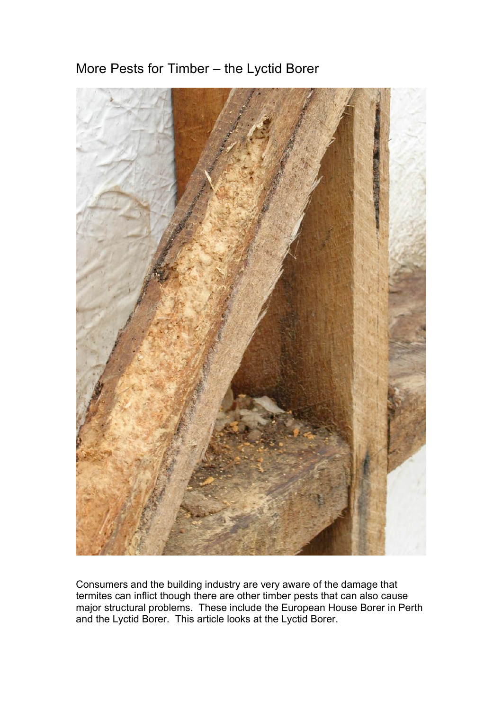



Consumers and the building industry are very aware of the damage that termites can inflict though there are other timber pests that can also cause major structural problems. These include the European House Borer in Perth and the Lyctid Borer. This article looks at the Lyctid Borer.